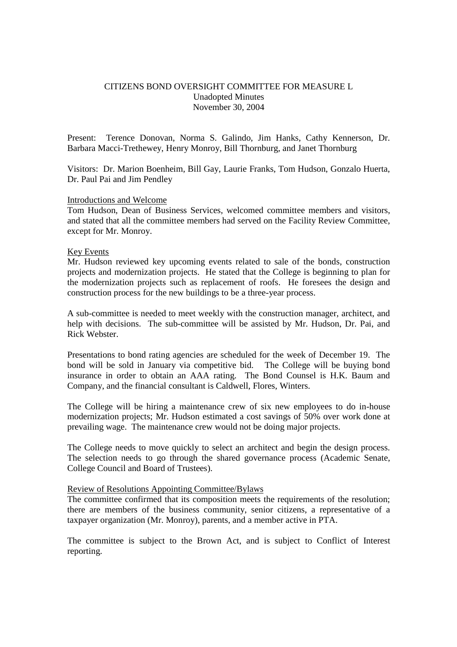# CITIZENS BOND OVERSIGHT COMMITTEE FOR MEASURE L Unadopted Minutes November 30, 2004

Present: Terence Donovan, Norma S. Galindo, Jim Hanks, Cathy Kennerson, Dr. Barbara Macci-Trethewey, Henry Monroy, Bill Thornburg, and Janet Thornburg

Visitors: Dr. Marion Boenheim, Bill Gay, Laurie Franks, Tom Hudson, Gonzalo Huerta, Dr. Paul Pai and Jim Pendley

### Introductions and Welcome

Tom Hudson, Dean of Business Services, welcomed committee members and visitors, and stated that all the committee members had served on the Facility Review Committee, except for Mr. Monroy.

#### Key Events

Mr. Hudson reviewed key upcoming events related to sale of the bonds, construction projects and modernization projects. He stated that the College is beginning to plan for the modernization projects such as replacement of roofs. He foresees the design and construction process for the new buildings to be a three-year process.

A sub-committee is needed to meet weekly with the construction manager, architect, and help with decisions. The sub-committee will be assisted by Mr. Hudson, Dr. Pai, and Rick Webster.

Presentations to bond rating agencies are scheduled for the week of December 19. The bond will be sold in January via competitive bid. The College will be buying bond insurance in order to obtain an AAA rating. The Bond Counsel is H.K. Baum and Company, and the financial consultant is Caldwell, Flores, Winters.

The College will be hiring a maintenance crew of six new employees to do in-house modernization projects; Mr. Hudson estimated a cost savings of 50% over work done at prevailing wage. The maintenance crew would not be doing major projects.

The College needs to move quickly to select an architect and begin the design process. The selection needs to go through the shared governance process (Academic Senate, College Council and Board of Trustees).

#### Review of Resolutions Appointing Committee/Bylaws

The committee confirmed that its composition meets the requirements of the resolution; there are members of the business community, senior citizens, a representative of a taxpayer organization (Mr. Monroy), parents, and a member active in PTA.

The committee is subject to the Brown Act, and is subject to Conflict of Interest reporting.